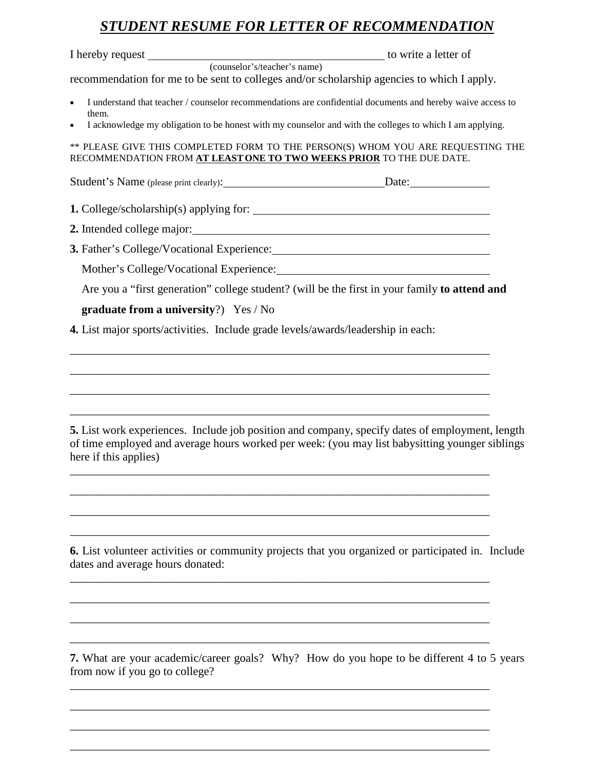## *STUDENT RESUME FOR LETTER OF RECOMMENDATION*

| recommendation for me to be sent to colleges and/or scholarship agencies to which I apply. |                                                                                                                                                                                                   |
|--------------------------------------------------------------------------------------------|---------------------------------------------------------------------------------------------------------------------------------------------------------------------------------------------------|
|                                                                                            |                                                                                                                                                                                                   |
| $\bullet$<br>them.                                                                         | I understand that teacher / counselor recommendations are confidential documents and hereby waive access to                                                                                       |
| $\bullet$                                                                                  | I acknowledge my obligation to be honest with my counselor and with the colleges to which I am applying.                                                                                          |
| RECOMMENDATION FROM AT LEAST ONE TO TWO WEEKS PRIOR TO THE DUE DATE.                       | ** PLEASE GIVE THIS COMPLETED FORM TO THE PERSON(S) WHOM YOU ARE REQUESTING THE                                                                                                                   |
| Student's Name (please print clearly): Date: Date:                                         |                                                                                                                                                                                                   |
|                                                                                            |                                                                                                                                                                                                   |
|                                                                                            |                                                                                                                                                                                                   |
| 3. Father's College/Vocational Experience: Manual Assembly College/Vocational Experience:  |                                                                                                                                                                                                   |
|                                                                                            |                                                                                                                                                                                                   |
|                                                                                            | Are you a "first generation" college student? (will be the first in your family to attend and                                                                                                     |
| graduate from a university?) Yes / No                                                      |                                                                                                                                                                                                   |
| 4. List major sports/activities. Include grade levels/awards/leadership in each:           |                                                                                                                                                                                                   |
|                                                                                            |                                                                                                                                                                                                   |
|                                                                                            |                                                                                                                                                                                                   |
|                                                                                            |                                                                                                                                                                                                   |
|                                                                                            |                                                                                                                                                                                                   |
|                                                                                            |                                                                                                                                                                                                   |
| here if this applies)                                                                      | 5. List work experiences. Include job position and company, specify dates of employment, length<br>of time employed and average hours worked per week: (you may list babysitting younger siblings |
|                                                                                            |                                                                                                                                                                                                   |
|                                                                                            |                                                                                                                                                                                                   |
|                                                                                            |                                                                                                                                                                                                   |
| dates and average hours donated:                                                           | 6. List volunteer activities or community projects that you organized or participated in. Include                                                                                                 |
|                                                                                            |                                                                                                                                                                                                   |
|                                                                                            |                                                                                                                                                                                                   |
|                                                                                            |                                                                                                                                                                                                   |
|                                                                                            |                                                                                                                                                                                                   |

**7.** What are your academic/career goals? Why? How do you hope to be different 4 to 5 years from now if you go to college?

\_\_\_\_\_\_\_\_\_\_\_\_\_\_\_\_\_\_\_\_\_\_\_\_\_\_\_\_\_\_\_\_\_\_\_\_\_\_\_\_\_\_\_\_\_\_\_\_\_\_\_\_\_\_\_\_\_\_\_\_\_\_\_\_\_\_\_\_\_\_\_\_

\_\_\_\_\_\_\_\_\_\_\_\_\_\_\_\_\_\_\_\_\_\_\_\_\_\_\_\_\_\_\_\_\_\_\_\_\_\_\_\_\_\_\_\_\_\_\_\_\_\_\_\_\_\_\_\_\_\_\_\_\_\_\_\_\_\_\_\_\_\_\_\_

\_\_\_\_\_\_\_\_\_\_\_\_\_\_\_\_\_\_\_\_\_\_\_\_\_\_\_\_\_\_\_\_\_\_\_\_\_\_\_\_\_\_\_\_\_\_\_\_\_\_\_\_\_\_\_\_\_\_\_\_\_\_\_\_\_\_\_\_\_\_\_\_